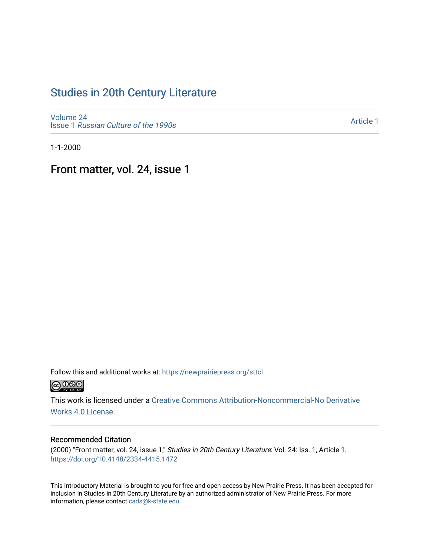## [Studies in 20th Century Literature](https://newprairiepress.org/sttcl)

[Volume 24](https://newprairiepress.org/sttcl/vol24) Issue 1 [Russian Culture of the 1990s](https://newprairiepress.org/sttcl/vol24/iss1) 

[Article 1](https://newprairiepress.org/sttcl/vol24/iss1/1) 

1-1-2000

Front matter, vol. 24, issue 1

Follow this and additional works at: [https://newprairiepress.org/sttcl](https://newprairiepress.org/sttcl?utm_source=newprairiepress.org%2Fsttcl%2Fvol24%2Fiss1%2F1&utm_medium=PDF&utm_campaign=PDFCoverPages)   $\bigcirc$   $\bigcirc$   $\bigcirc$ 

This work is licensed under a [Creative Commons Attribution-Noncommercial-No Derivative](https://creativecommons.org/licenses/by-nc-nd/4.0/)  [Works 4.0 License](https://creativecommons.org/licenses/by-nc-nd/4.0/).

### Recommended Citation

(2000) "Front matter, vol. 24, issue 1," Studies in 20th Century Literature: Vol. 24: Iss. 1, Article 1. <https://doi.org/10.4148/2334-4415.1472>

This Introductory Material is brought to you for free and open access by New Prairie Press. It has been accepted for inclusion in Studies in 20th Century Literature by an authorized administrator of New Prairie Press. For more information, please contact [cads@k-state.edu](mailto:cads@k-state.edu).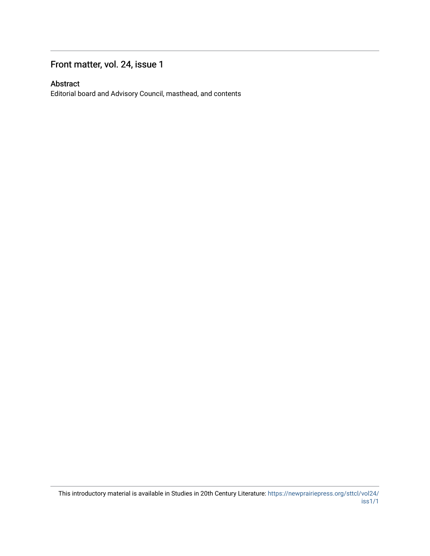## Front matter, vol. 24, issue 1

### Abstract

Editorial board and Advisory Council, masthead, and contents

This introductory material is available in Studies in 20th Century Literature: [https://newprairiepress.org/sttcl/vol24/](https://newprairiepress.org/sttcl/vol24/iss1/1) [iss1/1](https://newprairiepress.org/sttcl/vol24/iss1/1)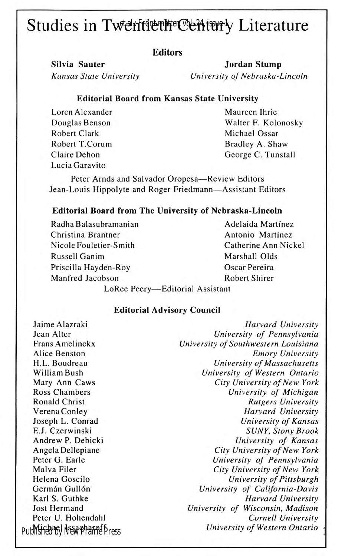# Studies in Twentieth Century Literature

#### **Editors**

Silvia Sauter Jordan Stump Kansas State University University of Nebraska-Lincoln

#### Editorial Board from Kansas State University

Loren Alexander Douglas Benson Robert Clark Robert T.Corum Claire Dehon Lucia Garavito

Maureen Ihrie Walter F. Kolonosky Michael Ossar Bradley A. Shaw George C. Tunstall

Peter Arnds and Salvador Oropesa-Review Editors Jean-Louis Hippolyte and Roger Friedmann-Assistant Editors

#### Editorial Board from The University of Nebraska-Lincoln

| Radha Balasubramanian           | Adelaida Martínez    |  |
|---------------------------------|----------------------|--|
| Christina Brantner              | Antonio Martínez     |  |
| Nicole Fouletier-Smith          | Catherine Ann Nickel |  |
| Russell Ganim                   | Marshall Olds        |  |
| Priscilla Hayden-Roy            | Oscar Pereira        |  |
| Manfred Jacobson                | Robert Shirer        |  |
| LoRee Peery-Editorial Assistant |                      |  |

#### Editorial Advisory Council

Jaime Alazraki Jean Alter Frans Amelinckx Alice Benston H.L. Boudreau William Bush Mary Ann Caws Ross Chambers Ronald Christ Verena Conley Joseph L. Conrad E.J. Czerwinski Andrew P. Debicki Angela Dellepiane Peter G. Earle Malva Filer Helena Goscilo Germán Gullón Karl S. Guthke Jost Hermand Peter U. Hohendahl Michael Issacharoff Published by New Prairie Press

Harvard University University of Pennsylvania University of Southwestern Louisiana Emory University University of Massachusetts University of Western Ontario City University of New York University of Michigan Rutgers University Harvard University University of Kansas SUNY, Stony Brook University of Kansas City University of New York University of Pennsylvania City University of New York University of Pittsburgh University of California-Davis Harvard University University of Wisconsin, Madison Cornell University University of Western Ontario <sup>1</sup>